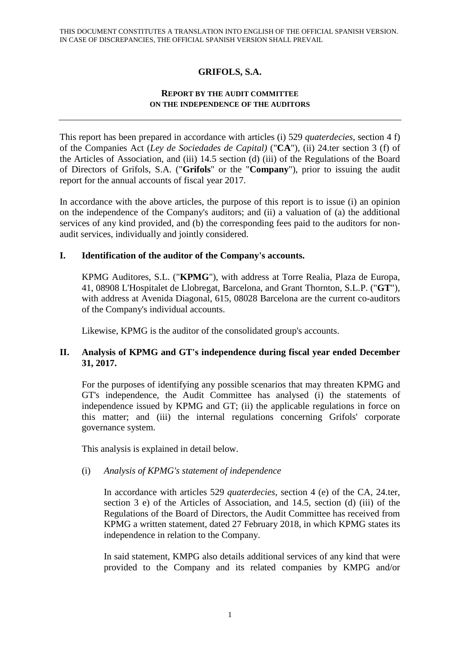# **GRIFOLS, S.A.**

#### **REPORT BY THE AUDIT COMMITTEE ON THE INDEPENDENCE OF THE AUDITORS**

This report has been prepared in accordance with articles (i) 529 *quaterdecies*, section 4 f) of the Companies Act (*Ley de Sociedades de Capital)* ("**CA**"), (ii) 24.ter section 3 (f) of the Articles of Association, and (iii) 14.5 section (d) (iii) of the Regulations of the Board of Directors of Grifols, S.A. ("**Grifols**" or the "**Company**"), prior to issuing the audit report for the annual accounts of fiscal year 2017.

In accordance with the above articles, the purpose of this report is to issue (i) an opinion on the independence of the Company's auditors; and (ii) a valuation of (a) the additional services of any kind provided, and (b) the corresponding fees paid to the auditors for nonaudit services, individually and jointly considered.

### **I. Identification of the auditor of the Company's accounts.**

KPMG Auditores, S.L. ("**KPMG**"), with address at Torre Realia, Plaza de Europa, 41, 08908 L'Hospitalet de Llobregat, Barcelona, and Grant Thornton, S.L.P. ("**GT**"), with address at Avenida Diagonal, 615, 08028 Barcelona are the current co-auditors of the Company's individual accounts.

Likewise, KPMG is the auditor of the consolidated group's accounts.

### **II. Analysis of KPMG and GT's independence during fiscal year ended December 31, 2017.**

For the purposes of identifying any possible scenarios that may threaten KPMG and GT's independence, the Audit Committee has analysed (i) the statements of independence issued by KPMG and GT; (ii) the applicable regulations in force on this matter; and (iii) the internal regulations concerning Grifols' corporate governance system.

This analysis is explained in detail below.

# (i) *Analysis of KPMG's statement of independence*

In accordance with articles 529 *quaterdecies*, section 4 (e) of the CA, 24.ter, section 3 e) of the Articles of Association, and 14.5, section (d) (iii) of the Regulations of the Board of Directors, the Audit Committee has received from KPMG a written statement, dated 27 February 2018, in which KPMG states its independence in relation to the Company.

In said statement, KMPG also details additional services of any kind that were provided to the Company and its related companies by KMPG and/or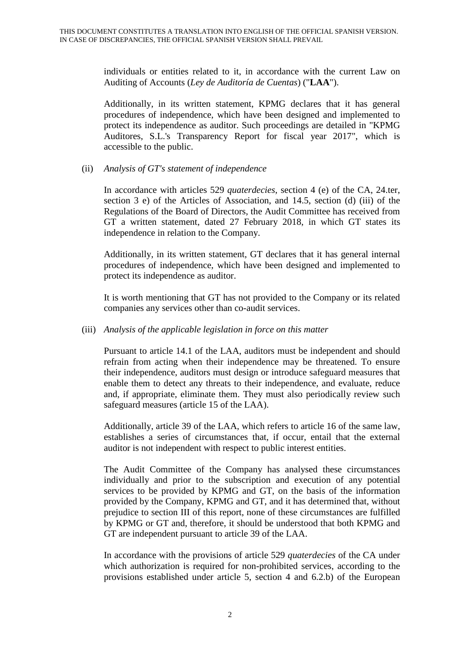individuals or entities related to it, in accordance with the current Law on Auditing of Accounts (*Ley de Auditoría de Cuentas*) ("**LAA**").

Additionally, in its written statement, KPMG declares that it has general procedures of independence, which have been designed and implemented to protect its independence as auditor. Such proceedings are detailed in "KPMG Auditores, S.L.'s Transparency Report for fiscal year 2017", which is accessible to the public.

#### (ii) *Analysis of GT's statement of independence*

In accordance with articles 529 *quaterdecies*, section 4 (e) of the CA, 24.ter, section 3 e) of the Articles of Association, and 14.5, section (d) (iii) of the Regulations of the Board of Directors, the Audit Committee has received from GT a written statement, dated 27 February 2018, in which GT states its independence in relation to the Company.

Additionally, in its written statement, GT declares that it has general internal procedures of independence, which have been designed and implemented to protect its independence as auditor.

It is worth mentioning that GT has not provided to the Company or its related companies any services other than co-audit services.

#### (iii) *Analysis of the applicable legislation in force on this matter*

Pursuant to article 14.1 of the LAA, auditors must be independent and should refrain from acting when their independence may be threatened. To ensure their independence, auditors must design or introduce safeguard measures that enable them to detect any threats to their independence, and evaluate, reduce and, if appropriate, eliminate them. They must also periodically review such safeguard measures (article 15 of the LAA).

Additionally, article 39 of the LAA, which refers to article 16 of the same law, establishes a series of circumstances that, if occur, entail that the external auditor is not independent with respect to public interest entities.

The Audit Committee of the Company has analysed these circumstances individually and prior to the subscription and execution of any potential services to be provided by KPMG and GT, on the basis of the information provided by the Company, KPMG and GT, and it has determined that, without prejudice to section III of this report, none of these circumstances are fulfilled by KPMG or GT and, therefore, it should be understood that both KPMG and GT are independent pursuant to article 39 of the LAA.

In accordance with the provisions of article 529 *quaterdecies* of the CA under which authorization is required for non-prohibited services, according to the provisions established under article 5, section 4 and 6.2.b) of the European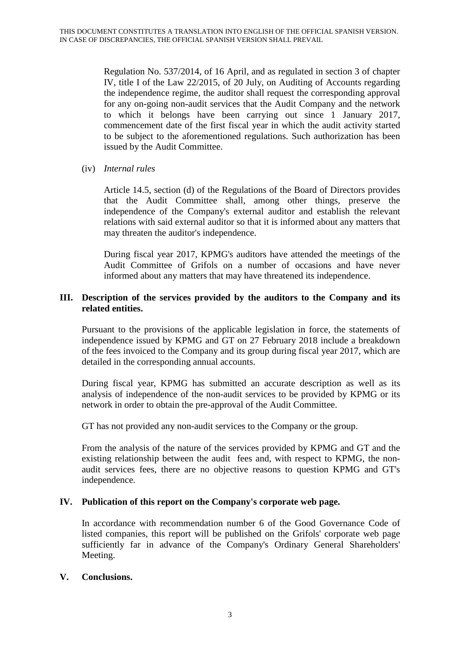Regulation No. 537/2014, of 16 April, and as regulated in section 3 of chapter IV, title I of the Law 22/2015, of 20 July, on Auditing of Accounts regarding the independence regime, the auditor shall request the corresponding approval for any on-going non-audit services that the Audit Company and the network to which it belongs have been carrying out since 1 January 2017, commencement date of the first fiscal year in which the audit activity started to be subject to the aforementioned regulations. Such authorization has been issued by the Audit Committee.

(iv) *Internal rules*

Article 14.5, section (d) of the Regulations of the Board of Directors provides that the Audit Committee shall, among other things, preserve the independence of the Company's external auditor and establish the relevant relations with said external auditor so that it is informed about any matters that may threaten the auditor's independence.

During fiscal year 2017, KPMG's auditors have attended the meetings of the Audit Committee of Grifols on a number of occasions and have never informed about any matters that may have threatened its independence.

### **III. Description of the services provided by the auditors to the Company and its related entities.**

Pursuant to the provisions of the applicable legislation in force, the statements of independence issued by KPMG and GT on 27 February 2018 include a breakdown of the fees invoiced to the Company and its group during fiscal year 2017, which are detailed in the corresponding annual accounts.

During fiscal year, KPMG has submitted an accurate description as well as its analysis of independence of the non-audit services to be provided by KPMG or its network in order to obtain the pre-approval of the Audit Committee.

GT has not provided any non-audit services to the Company or the group.

From the analysis of the nature of the services provided by KPMG and GT and the existing relationship between the audit fees and, with respect to KPMG, the nonaudit services fees, there are no objective reasons to question KPMG and GT's independence.

# **IV. Publication of this report on the Company's corporate web page.**

In accordance with recommendation number 6 of the Good Governance Code of listed companies, this report will be published on the Grifols' corporate web page sufficiently far in advance of the Company's Ordinary General Shareholders' Meeting.

#### **V. Conclusions.**